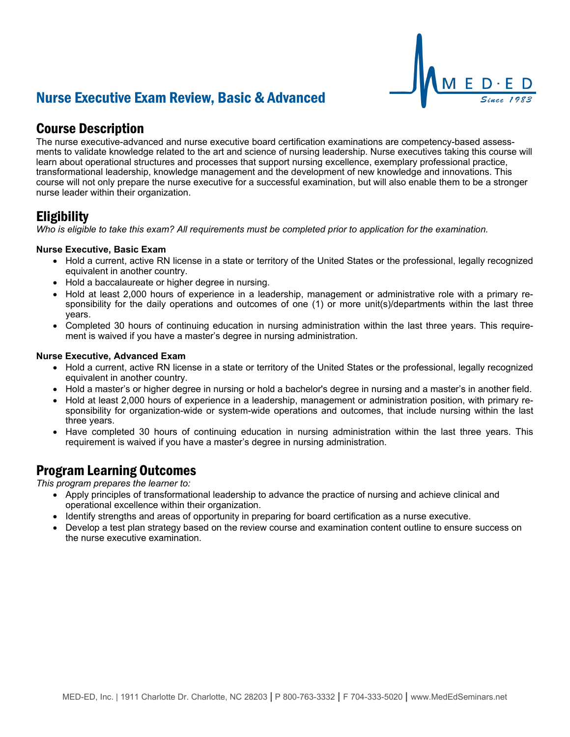# Nurse Executive Exam Review, Basic & Advanced



The nurse executive-advanced and nurse executive board certification examinations are competency-based assessments to validate knowledge related to the art and science of nursing leadership. Nurse executives taking this course will learn about operational structures and processes that support nursing excellence, exemplary professional practice, transformational leadership, knowledge management and the development of new knowledge and innovations. This course will not only prepare the nurse executive for a successful examination, but will also enable them to be a stronger nurse leader within their organization.

## Eligibility

*Who is eligible to take this exam? All requirements must be completed prior to application for the examination.*

#### **Nurse Executive, Basic Exam**

- Hold a current, active RN license in a state or territory of the United States or the professional, legally recognized equivalent in another country.
- Hold a baccalaureate or higher degree in nursing.
- Hold at least 2,000 hours of experience in a leadership, management or administrative role with a primary responsibility for the daily operations and outcomes of one (1) or more unit(s)/departments within the last three years.
- Completed 30 hours of continuing education in nursing administration within the last three years. This requirement is waived if you have a master's degree in nursing administration.

#### **Nurse Executive, Advanced Exam**

- Hold a current, active RN license in a state or territory of the United States or the professional, legally recognized equivalent in another country.
- Hold a master's or higher degree in nursing or hold a bachelor's degree in nursing and a master's in another field.
- Hold at least 2,000 hours of experience in a leadership, management or administration position, with primary responsibility for organization-wide or system-wide operations and outcomes, that include nursing within the last three years.
- Have completed 30 hours of continuing education in nursing administration within the last three years. This requirement is waived if you have a master's degree in nursing administration.

## Program Learning Outcomes

*This program prepares the learner to:*

- Apply principles of transformational leadership to advance the practice of nursing and achieve clinical and operational excellence within their organization.
- Identify strengths and areas of opportunity in preparing for board certification as a nurse executive.
- Develop a test plan strategy based on the review course and examination content outline to ensure success on the nurse executive examination.